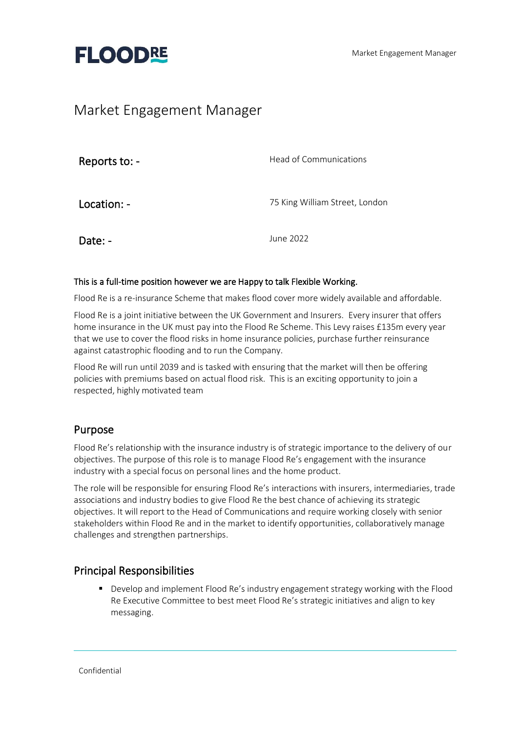

## Market Engagement Manager

| Reports to: - | Head of Communications         |
|---------------|--------------------------------|
| Location: -   | 75 King William Street, London |
| Date: -       | June 2022                      |

#### This is a full-time position however we are Happy to talk Flexible Working.

Flood Re is a re-insurance Scheme that makes flood cover more widely available and affordable.

Flood Re is a joint initiative between the UK Government and Insurers. Every insurer that offers home insurance in the UK must pay into the Flood Re Scheme. This Levy raises £135m every year that we use to cover the flood risks in home insurance policies, purchase further reinsurance against catastrophic flooding and to run the Company.

Flood Re will run until 2039 and is tasked with ensuring that the market will then be offering policies with premiums based on actual flood risk. This is an exciting opportunity to join a respected, highly motivated team

## Purpose

Flood Re's relationship with the insurance industry is of strategic importance to the delivery of our objectives. The purpose of this role is to manage Flood Re's engagement with the insurance industry with a special focus on personal lines and the home product.

The role will be responsible for ensuring Flood Re's interactions with insurers, intermediaries, trade associations and industry bodies to give Flood Re the best chance of achieving its strategic objectives. It will report to the Head of Communications and require working closely with senior stakeholders within Flood Re and in the market to identify opportunities, collaboratively manage challenges and strengthen partnerships.

## Principal Responsibilities

■ Develop and implement Flood Re's industry engagement strategy working with the Flood Re Executive Committee to best meet Flood Re's strategic initiatives and align to key messaging.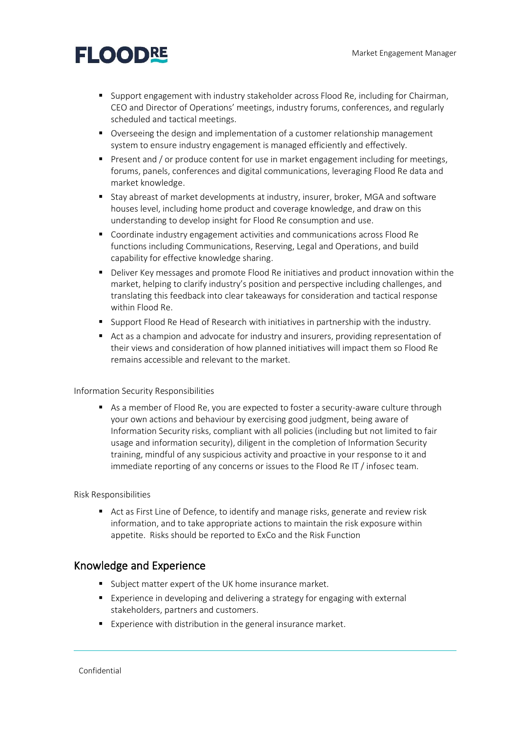# **FLOODRE**

- Support engagement with industry stakeholder across Flood Re, including for Chairman, CEO and Director of Operations' meetings, industry forums, conferences, and regularly scheduled and tactical meetings.
- Overseeing the design and implementation of a customer relationship management system to ensure industry engagement is managed efficiently and effectively.
- Present and / or produce content for use in market engagement including for meetings, forums, panels, conferences and digital communications, leveraging Flood Re data and market knowledge.
- Stay abreast of market developments at industry, insurer, broker, MGA and software houses level, including home product and coverage knowledge, and draw on this understanding to develop insight for Flood Re consumption and use.
- Coordinate industry engagement activities and communications across Flood Re functions including Communications, Reserving, Legal and Operations, and build capability for effective knowledge sharing.
- Deliver Key messages and promote Flood Re initiatives and product innovation within the market, helping to clarify industry's position and perspective including challenges, and translating this feedback into clear takeaways for consideration and tactical response within Flood Re.
- Support Flood Re Head of Research with initiatives in partnership with the industry.
- Act as a champion and advocate for industry and insurers, providing representation of their views and consideration of how planned initiatives will impact them so Flood Re remains accessible and relevant to the market.

#### Information Security Responsibilities

■ As a member of Flood Re, you are expected to foster a security-aware culture through your own actions and behaviour by exercising good judgment, being aware of Information Security risks, compliant with all policies (including but not limited to fair usage and information security), diligent in the completion of Information Security training, mindful of any suspicious activity and proactive in your response to it and immediate reporting of any concerns or issues to the Flood Re IT / infosec team.

#### Risk Responsibilities

■ Act as First Line of Defence, to identify and manage risks, generate and review risk information, and to take appropriate actions to maintain the risk exposure within appetite. Risks should be reported to ExCo and the Risk Function

### Knowledge and Experience

- Subject matter expert of the UK home insurance market.
- Experience in developing and delivering a strategy for engaging with external stakeholders, partners and customers.
- Experience with distribution in the general insurance market.